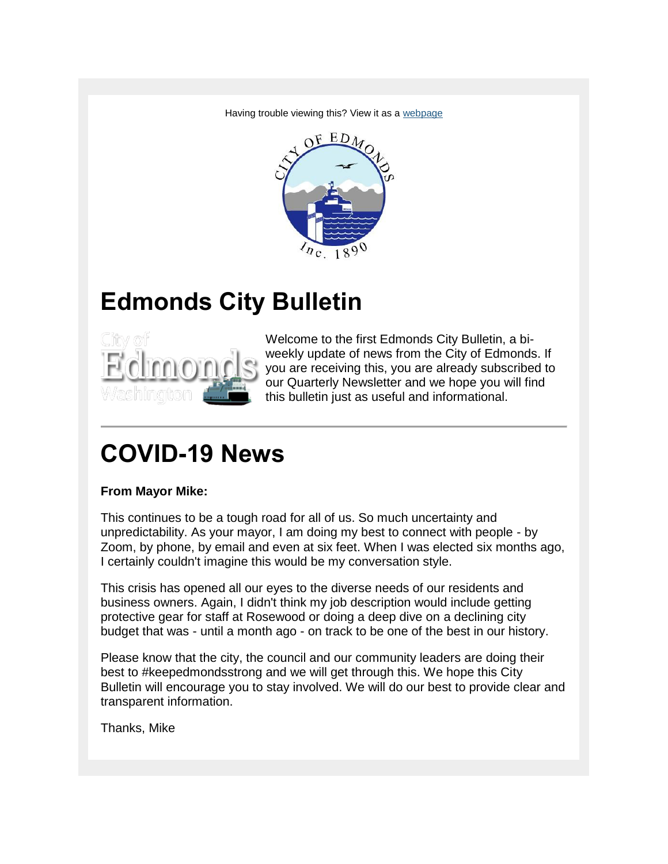Having trouble viewing this? View it as a [webpage](https://content.govdelivery.com/accounts/WAEDMONDS/bulletins/2871089)



# **Edmonds City Bulletin**



Welcome to the first Edmonds City Bulletin, a biweekly update of news from the City of Edmonds. If you are receiving this, you are already subscribed to our Quarterly Newsletter and we hope you will find this bulletin just as useful and informational.

# **COVID-19 News**

# **From Mayor Mike:**

This continues to be a tough road for all of us. So much uncertainty and unpredictability. As your mayor, I am doing my best to connect with people - by Zoom, by phone, by email and even at six feet. When I was elected six months ago, I certainly couldn't imagine this would be my conversation style.

This crisis has opened all our eyes to the diverse needs of our residents and business owners. Again, I didn't think my job description would include getting protective gear for staff at Rosewood or doing a deep dive on a declining city budget that was - until a month ago - on track to be one of the best in our history.

Please know that the city, the council and our community leaders are doing their best to #keepedmondsstrong and we will get through this. We hope this City Bulletin will encourage you to stay involved. We will do our best to provide clear and transparent information.

Thanks, Mike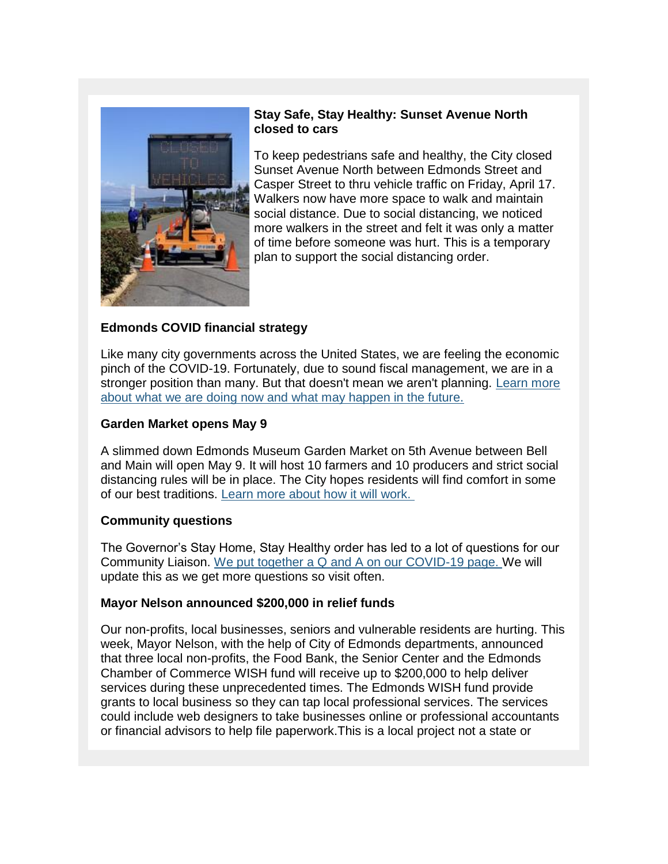

### **Stay Safe, Stay Healthy: Sunset Avenue North closed to cars**

To keep pedestrians safe and healthy, the City closed Sunset Avenue North between Edmonds Street and Casper Street to thru vehicle traffic on Friday, April 17. Walkers now have more space to walk and maintain social distance. Due to social distancing, we noticed more walkers in the street and felt it was only a matter of time before someone was hurt. This is a temporary plan to support the social distancing order.

# **Edmonds COVID financial strategy**

Like many city governments across the United States, we are feeling the economic pinch of the COVID-19. Fortunately, due to sound fiscal management, we are in a stronger position than many. But that doesn't mean we aren't planning. [Learn more](http://www.edmondswa.gov/list-all-categories/144-services/health/3112-city-of-edmonds-covid-19-financial-plan.html)  [about what we are doing now and what may happen in the future.](http://www.edmondswa.gov/list-all-categories/144-services/health/3112-city-of-edmonds-covid-19-financial-plan.html)

### **Garden Market opens May 9**

A slimmed down Edmonds Museum Garden Market on 5th Avenue between Bell and Main will open May 9. It will host 10 farmers and 10 producers and strict social distancing rules will be in place. The City hopes residents will find comfort in some of our best traditions. [Learn more about how it will work.](http://www.edmondswa.gov/images/COE/Press_Release/PDF/2020/Market_press_release_04_20_2020_-_FINAL.pdf)

# **Community questions**

The Governor's Stay Home, Stay Healthy order has led to a lot of questions for our Community Liaison. [We put together a Q and A on our COVID-19 page. W](http://www.edmondswa.gov/coronavirus.html)e will update this as we get more questions so visit often.

#### **Mayor Nelson announced \$200,000 in relief funds**

Our non-profits, local businesses, seniors and vulnerable residents are hurting. This week, Mayor Nelson, with the help of City of Edmonds departments, announced that three local non-profits, the Food Bank, the Senior Center and the Edmonds Chamber of Commerce WISH fund will receive up to \$200,000 to help deliver services during these unprecedented times. The Edmonds WISH fund provide grants to local business so they can tap local professional services. The services could include web designers to take businesses online or professional accountants or financial advisors to help file paperwork.This is a local project not a state or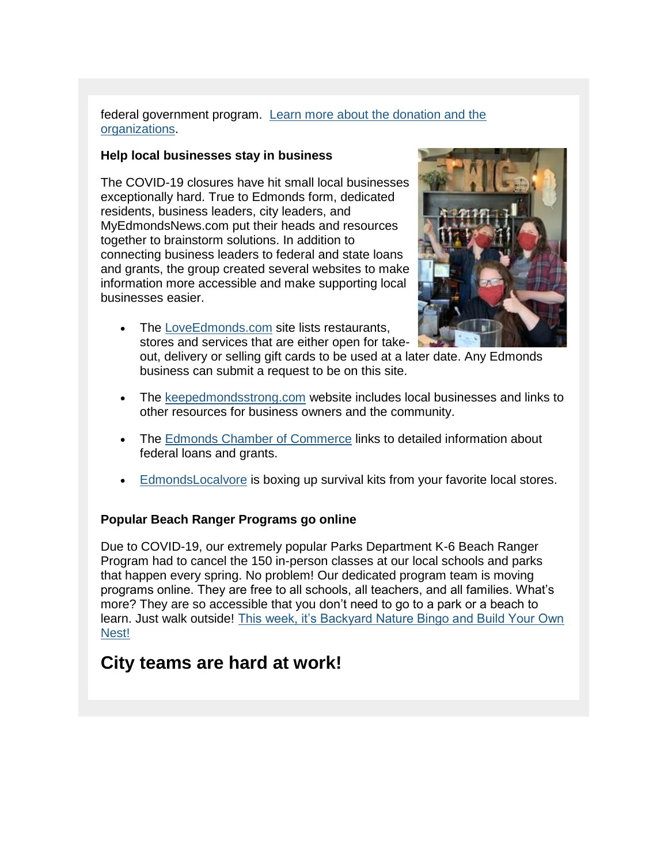federal government program. [Learn more about the donation and the](http://www.edmondswa.gov/images/COE/Press_Release/PDF/2020/04_06_2020_Release_Economic_Fund_Final.pdf)  [organizations.](http://www.edmondswa.gov/images/COE/Press_Release/PDF/2020/04_06_2020_Release_Economic_Fund_Final.pdf)

#### **Help local businesses stay in business**

The COVID-19 closures have hit small local businesses exceptionally hard. True to Edmonds form, dedicated residents, business leaders, city leaders, and MyEdmondsNews.com put their heads and resources together to brainstorm solutions. In addition to connecting business leaders to federal and state loans and grants, the group created several websites to make information more accessible and make supporting local businesses easier.

• The [LoveEdmonds.com](http://www.loveedmonds.com/) site lists restaurants, stores and services that are either open for take-



out, delivery or selling gift cards to be used at a later date. Any Edmonds business can submit a request to be on this site.

- The [keepedmondsstrong.com](http://www.keepedmondsstrong.com/) website includes local businesses and links to other resources for business owners and the community.
- The [Edmonds Chamber of Commerce](https://edmondschamber.com/covid-19-resources/) links to detailed information about federal loans and grants.
- [EdmondsLocalvore](https://www.edmondslocalvore.com/) is boxing up survival kits from your favorite local stores.

# **Popular Beach Ranger Programs go online**

Due to COVID-19, our extremely popular Parks Department K-6 Beach Ranger Program had to cancel the 150 in-person classes at our local schools and parks that happen every spring. No problem! Our dedicated program team is moving programs online. They are free to all schools, all teachers, and all families. What's more? They are so accessible that you don't need to go to a park or a beach to learn. Just walk outside! [This week, it's Backyard Nature Bingo and Build Your Own](http://www.edmondswa.gov/list-all-categories/176-discovery-programs/3106-learning-from-home.html)  [Nest!](http://www.edmondswa.gov/list-all-categories/176-discovery-programs/3106-learning-from-home.html)

# **City teams are hard at work!**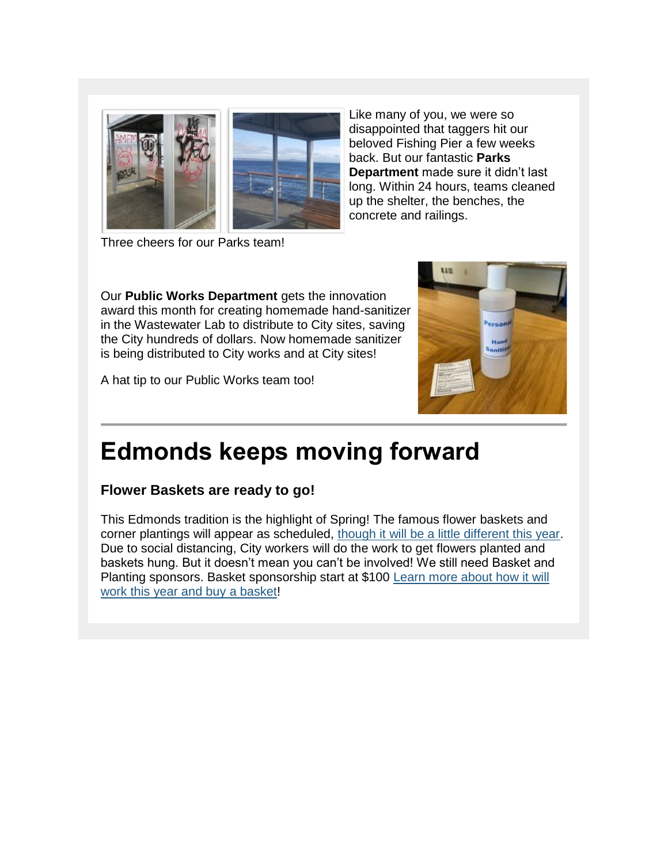

Like many of you, we were so disappointed that taggers hit our beloved Fishing Pier a few weeks back. But our fantastic **Parks Department** made sure it didn't last long. Within 24 hours, teams cleaned up the shelter, the benches, the concrete and railings.

Three cheers for our Parks team!

Our **Public Works Department** gets the innovation award this month for creating homemade hand-sanitizer in the Wastewater Lab to distribute to City sites, saving the City hundreds of dollars. Now homemade sanitizer is being distributed to City works and at City sites!

A hat tip to our Public Works team too!



# **Edmonds keeps moving forward**

# **Flower Baskets are ready to go!**

This Edmonds tradition is the highlight of Spring! The famous flower baskets and corner plantings will appear as scheduled, [though it will be a little different this year.](http://www.edmondswa.gov/images/COE/Press_Release/PDF/2020/Flower_Program_Press_Release_Final.pdf) Due to social distancing, City workers will do the work to get flowers planted and baskets hung. But it doesn't mean you can't be involved! We still need Basket and Planting sponsors. Basket sponsorship start at \$100 [Learn more about how it will](http://www.edmondswa.gov/parks-recreation-departments/flower-program.html)  [work this year and buy a basket!](http://www.edmondswa.gov/parks-recreation-departments/flower-program.html)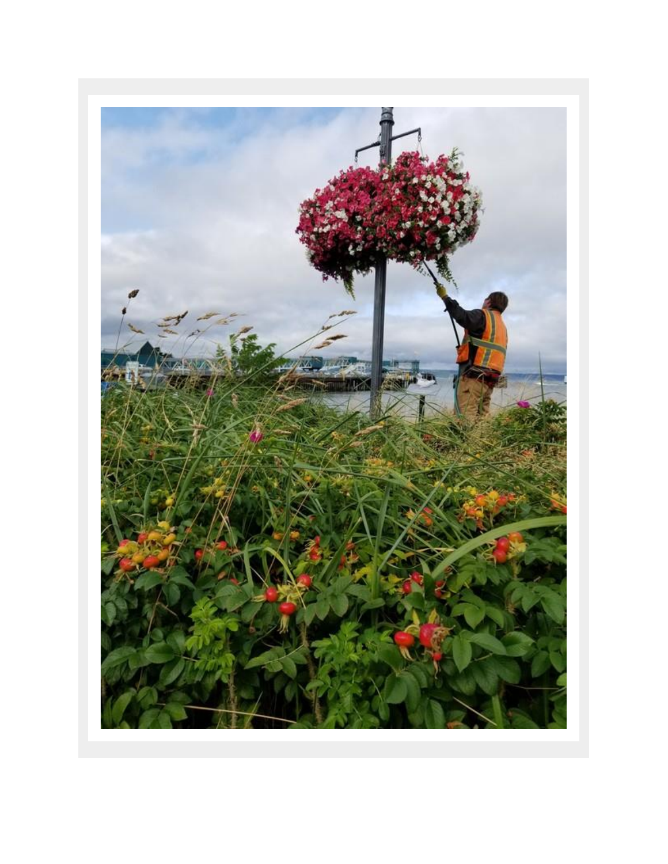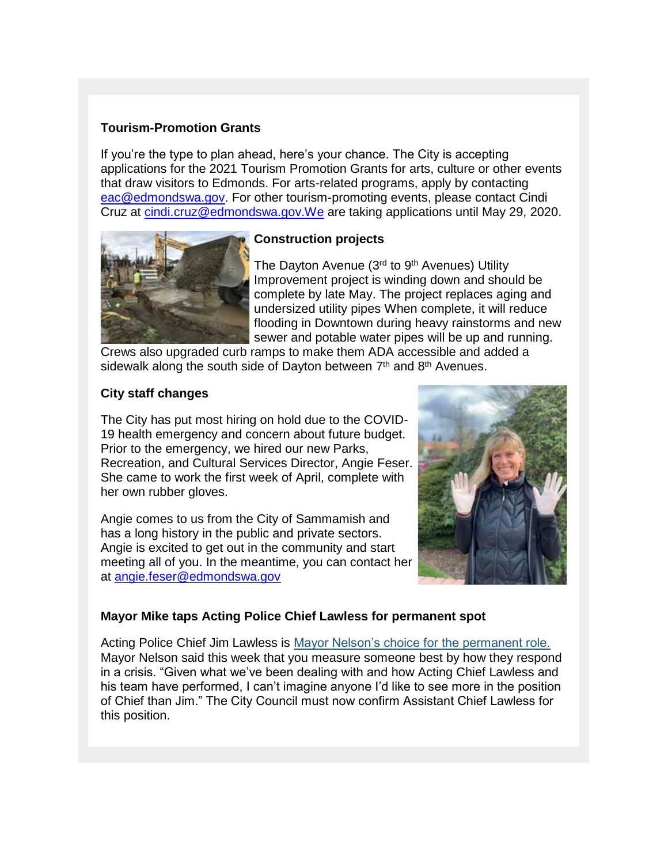#### **Tourism-Promotion Grants**

If you're the type to plan ahead, here's your chance. The City is accepting applications for the 2021 Tourism Promotion Grants for arts, culture or other events that draw visitors to Edmonds. For arts-related programs, apply by contacting [eac@edmondswa.gov.](mailto:eac@edmondswa.gov) For other tourism-promoting events, please contact Cindi Cruz at [cindi.cruz@edmondswa.gov.We](mailto:cindi.cruz@edmondswa.gov.We) are taking applications until May 29, 2020.



#### **Construction projects**

The Dayton Avenue (3<sup>rd</sup> to 9<sup>th</sup> Avenues) Utility Improvement project is winding down and should be complete by late May. The project replaces aging and undersized utility pipes When complete, it will reduce flooding in Downtown during heavy rainstorms and new sewer and potable water pipes will be up and running.

Crews also upgraded curb ramps to make them ADA accessible and added a sidewalk along the south side of Dayton between  $7<sup>th</sup>$  and  $8<sup>th</sup>$  Avenues.

#### **City staff changes**

The City has put most hiring on hold due to the COVID-19 health emergency and concern about future budget. Prior to the emergency, we hired our new Parks, Recreation, and Cultural Services Director, Angie Feser. She came to work the first week of April, complete with her own rubber gloves.

Angie comes to us from the City of Sammamish and has a long history in the public and private sectors. Angie is excited to get out in the community and start meeting all of you. In the meantime, you can contact her at [angie.feser@edmondswa.gov](mailto:angie.feser@edmondswa.gov)



#### **Mayor Mike taps Acting Police Chief Lawless for permanent spot**

Acting Police Chief Jim Lawless is [Mayor Nelson's choice for the permanent role.](http://www.edmondswa.gov/images/COE/Press_Release/PDF/2020/04092020_Chief_Lawless_release_-_final.pdf) Mayor Nelson said this week that you measure someone best by how they respond in a crisis. "Given what we've been dealing with and how Acting Chief Lawless and his team have performed, I can't imagine anyone I'd like to see more in the position of Chief than Jim." The City Council must now confirm Assistant Chief Lawless for this position.